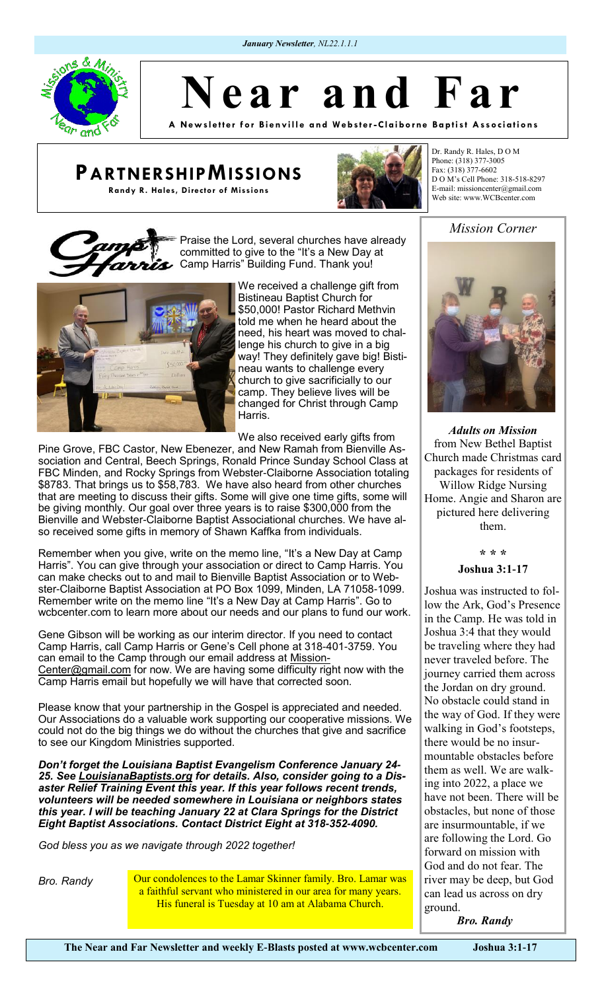*January Newsletter, NL22.1.1.1* 

Praise the Lord, several churches have already committed to give to the "It's a New Day at

Camp Harris" Building Fund. Thank you!



**A New sl ett er for Bi envill e a nd We bste r -Clai borne Ba pti st Associ ations**

# **PARTNERSHIPMISSIONS**

**Randy R. Hales, Director of Missions**



Dr. Randy R. Hales, D O M Phone: (318) 377-3005 Fax: (318) 377-6602 D O M's Cell Phone: 318-518-8297 E-mail: missioncenter@gmail.com Web site: www.WCBcenter.com

## *Mission Corner*



We received a challenge gift from Bistineau Baptist Church for \$50,000! Pastor Richard Methvin told me when he heard about the need, his heart was moved to challenge his church to give in a big way! They definitely gave big! Bistineau wants to challenge every church to give sacrificially to our camp. They believe lives will be changed for Christ through Camp Harris.

We also received early gifts from

Pine Grove, FBC Castor, New Ebenezer, and New Ramah from Bienville Association and Central, Beech Springs, Ronald Prince Sunday School Class at FBC Minden, and Rocky Springs from Webster-Claiborne Association totaling \$8783. That brings us to \$58,783. We have also heard from other churches that are meeting to discuss their gifts. Some will give one time gifts, some will be giving monthly. Our goal over three years is to raise \$300,000 from the Bienville and Webster-Claiborne Baptist Associational churches. We have also received some gifts in memory of Shawn Kaffka from individuals.

Remember when you give, write on the memo line, "It's a New Day at Camp Harris". You can give through your association or direct to Camp Harris. You can make checks out to and mail to Bienville Baptist Association or to Webster-Claiborne Baptist Association at PO Box 1099, Minden, LA 71058-1099. Remember write on the memo line "It's a New Day at Camp Harris". Go to wcbcenter.com to learn more about our needs and our plans to fund our work.

Gene Gibson will be working as our interim director. If you need to contact Camp Harris, call Camp Harris or Gene's Cell phone at 318-401-3759. You can email to the Camp through our email address at [Mission-](mailto:MissionCenter@gmail.com)[Center@gmail.com](mailto:MissionCenter@gmail.com) for now. We are having some difficulty right now with the Camp Harris email but hopefully we will have that corrected soon.

Please know that your partnership in the Gospel is appreciated and needed. Our Associations do a valuable work supporting our cooperative missions. We could not do the big things we do without the churches that give and sacrifice to see our Kingdom Ministries supported.

*Don't forget the Louisiana Baptist Evangelism Conference January 24- 25. See [LouisianaBaptists.org](http://louisianabaptists.org) for details. Also, consider going to a Disaster Relief Training Event this year. If this year follows recent trends, volunteers will be needed somewhere in Louisiana or neighbors states this year. I will be teaching January 22 at Clara Springs for the District Eight Baptist Associations. Contact District Eight at 318-352-4090.*

*God bless you as we navigate through 2022 together!*

*Bro. Randy* **Our condolences to the Lamar Skinner family. Bro. Lamar was** a faithful servant who ministered in our area for many years. His funeral is Tuesday at 10 am at Alabama Church.



*Adults on Mission* from New Bethel Baptist Church made Christmas card packages for residents of Willow Ridge Nursing Home. Angie and Sharon are pictured here delivering them.

### **\* \* \***

### **Joshua 3:1-17**

Joshua was instructed to follow the Ark, God's Presence in the Camp. He was told in Joshua 3:4 that they would be traveling where they had never traveled before. The journey carried them across the Jordan on dry ground. No obstacle could stand in the way of God. If they were walking in God's footsteps, there would be no insurmountable obstacles before them as well. We are walking into 2022, a place we have not been. There will be obstacles, but none of those are insurmountable, if we are following the Lord. Go forward on mission with God and do not fear. The river may be deep, but God can lead us across on dry ground.

*Bro. Randy*

**The Near and Far Newsletter and weekly E-Blasts posted at www.wcbcenter.com Joshua 3:1-17**